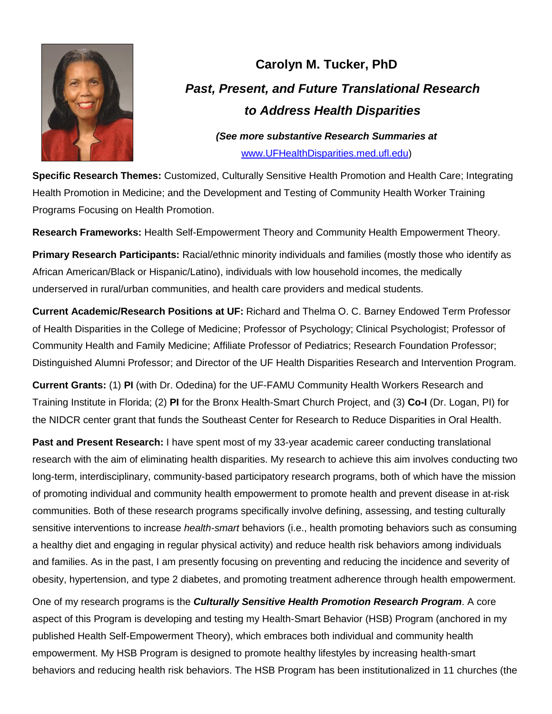

## **Carolyn M. Tucker, PhD** *Past, Present, and Future Translational Research to Address Health Disparities*

*(See more substantive Research Summaries at*  [www.UFHealthDisparities.med.ufl.edu\)](http://www.ufhealthdisparities.med.ufl.edu/)

**Specific Research Themes:** Customized, Culturally Sensitive Health Promotion and Health Care; Integrating Health Promotion in Medicine; and the Development and Testing of Community Health Worker Training Programs Focusing on Health Promotion.

**Research Frameworks:** Health Self-Empowerment Theory and Community Health Empowerment Theory.

**Primary Research Participants:** Racial/ethnic minority individuals and families (mostly those who identify as African American/Black or Hispanic/Latino), individuals with low household incomes, the medically underserved in rural/urban communities, and health care providers and medical students.

**Current Academic/Research Positions at UF:** Richard and Thelma O. C. Barney Endowed Term Professor of Health Disparities in the College of Medicine; Professor of Psychology; Clinical Psychologist; Professor of Community Health and Family Medicine; Affiliate Professor of Pediatrics; Research Foundation Professor; Distinguished Alumni Professor; and Director of the UF Health Disparities Research and Intervention Program.

**Current Grants:** (1) **PI** (with Dr. Odedina) for the UF-FAMU Community Health Workers Research and Training Institute in Florida; (2) **PI** for the Bronx Health-Smart Church Project, and (3) **Co-I** (Dr. Logan, PI) for the NIDCR center grant that funds the Southeast Center for Research to Reduce Disparities in Oral Health.

**Past and Present Research:** I have spent most of my 33-year academic career conducting translational research with the aim of eliminating health disparities. My research to achieve this aim involves conducting two long-term, interdisciplinary, community-based participatory research programs, both of which have the mission of promoting individual and community health empowerment to promote health and prevent disease in at-risk communities. Both of these research programs specifically involve defining, assessing, and testing culturally sensitive interventions to increase *health-smart* behaviors (i.e., health promoting behaviors such as consuming a healthy diet and engaging in regular physical activity) and reduce health risk behaviors among individuals and families. As in the past, I am presently focusing on preventing and reducing the incidence and severity of obesity, hypertension, and type 2 diabetes, and promoting treatment adherence through health empowerment.

One of my research programs is the *Culturally Sensitive Health Promotion Research Program*. A core aspect of this Program is developing and testing my Health-Smart Behavior (HSB) Program (anchored in my published Health Self-Empowerment Theory), which embraces both individual and community health empowerment. My HSB Program is designed to promote healthy lifestyles by increasing health-smart behaviors and reducing health risk behaviors. The HSB Program has been institutionalized in 11 churches (the